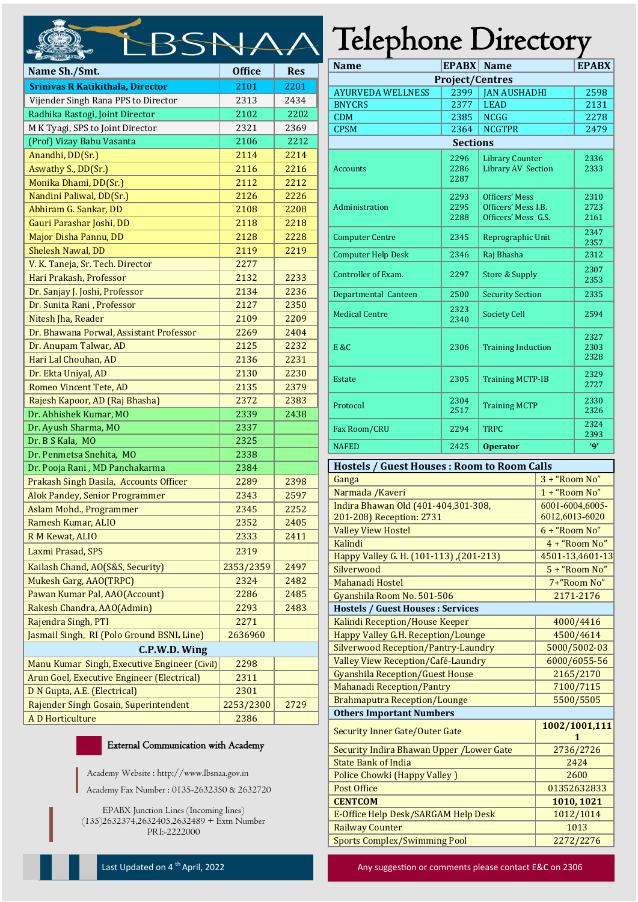| Name Sh./Smt.                                | <b>Office</b> | <b>Res</b> |  |  |  |  |  |  |
|----------------------------------------------|---------------|------------|--|--|--|--|--|--|
| <b>Srinivas R Katikithala, Director</b>      | 2101          | 2201       |  |  |  |  |  |  |
| Vijender Singh Rana PPS to Director          | 2313          | 2434       |  |  |  |  |  |  |
| Radhika Rastogi, Joint Director              | 2102          | 2202       |  |  |  |  |  |  |
| M K Tyagi, SPS to Joint Director             | 2321          | 2369       |  |  |  |  |  |  |
| (Prof) Vizay Babu Vasanta                    | 2106          | 2212       |  |  |  |  |  |  |
| Anandhi, DD(Sr.)                             | 2114          | 2214       |  |  |  |  |  |  |
| Aswathy S., DD(Sr.)                          | 2116          | 2216       |  |  |  |  |  |  |
| Monika Dhami, DD(Sr.)                        | 2112          | 2212       |  |  |  |  |  |  |
| Nandini Paliwal, DD(Sr.)                     | 2126          | 2226       |  |  |  |  |  |  |
| Abhiram G. Sankar, DD                        | 2108          | 2208       |  |  |  |  |  |  |
| Gauri Parashar Joshi, DD                     | 2118          | 2218       |  |  |  |  |  |  |
| Major Disha Pannu, DD                        | 2128          | 2228       |  |  |  |  |  |  |
| <b>Shelesh Nawal, DD</b>                     | 2119          | 2219       |  |  |  |  |  |  |
| V. K. Taneja, Sr. Tech. Director             | 2277          |            |  |  |  |  |  |  |
| Hari Prakash, Professor                      | 2132          | 2233       |  |  |  |  |  |  |
| Dr. Sanjay J. Joshi, Professor               | 2134          | 2236       |  |  |  |  |  |  |
| Dr. Sunita Rani, Professor                   | 2127          | 2350       |  |  |  |  |  |  |
| Nitesh Jha, Reader                           | 2109          | 2209       |  |  |  |  |  |  |
| Dr. Bhawana Porwal, Assistant Professor      | 2269          | 2404       |  |  |  |  |  |  |
| Dr. Anupam Talwar, AD                        | 2125          | 2232       |  |  |  |  |  |  |
| Hari Lal Chouhan, AD                         | 2136          | 2231       |  |  |  |  |  |  |
| Dr. Ekta Uniyal, AD                          | 2130          | 2230       |  |  |  |  |  |  |
| Romeo Vincent Tete, AD                       | 2135          | 2379       |  |  |  |  |  |  |
| Rajesh Kapoor, AD (Raj Bhasha)               | 2372          | 2383       |  |  |  |  |  |  |
| Dr. Abhishek Kumar, MO                       | 2339          | 2438       |  |  |  |  |  |  |
| Dr. Ayush Sharma, MO                         | 2337          |            |  |  |  |  |  |  |
| Dr. B S Kala, MO                             | 2325          |            |  |  |  |  |  |  |
| Dr. Penmetsa Snehita, MO                     | 2338          |            |  |  |  |  |  |  |
| Dr. Pooja Rani, MD Panchakarma               | 2384          |            |  |  |  |  |  |  |
| Prakash Singh Dasila, Accounts Officer       | 2289          | 2398       |  |  |  |  |  |  |
| Alok Pandey, Senior Programmer               | 2343          | 2597       |  |  |  |  |  |  |
| Aslam Mohd., Programmer                      | 2345          | 2252       |  |  |  |  |  |  |
| Ramesh Kumar, ALIO                           | 2352          | 2405       |  |  |  |  |  |  |
| R M Kewat, ALIO                              | 2333          | 2411       |  |  |  |  |  |  |
| Laxmi Prasad, SPS                            | 2319          |            |  |  |  |  |  |  |
| Kailash Chand, AO(S&S, Security)             | 2353/2359     | 2497       |  |  |  |  |  |  |
| Mukesh Garg, AAO(TRPC)                       | 2324          | 2482       |  |  |  |  |  |  |
| Pawan Kumar Pal, AAO(Account)                | 2286          | 2485       |  |  |  |  |  |  |
| Rakesh Chandra, AAO(Admin)                   | 2293          | 2483       |  |  |  |  |  |  |
| Rajendra Singh, PTI                          | 2271          |            |  |  |  |  |  |  |
| Jasmail Singh, RI (Polo Ground BSNL Line)    | 2636960       |            |  |  |  |  |  |  |
| C.P.W.D. Wing                                |               |            |  |  |  |  |  |  |
| Manu Kumar Singh, Executive Engineer (Civil) | 2298          |            |  |  |  |  |  |  |
| Arun Goel, Executive Engineer (Electrical)   | 2311          |            |  |  |  |  |  |  |
| D N Gupta, A.E. (Electrical)                 | 2301          |            |  |  |  |  |  |  |
| Rajender Singh Gosain, Superintendent        | 2253/2300     | 2729       |  |  |  |  |  |  |
| <b>AD</b> Horticulture                       | 2386          |            |  |  |  |  |  |  |
|                                              |               |            |  |  |  |  |  |  |

## External Communication with Academy

Academy Website : http://www.lbsnaa.gov.in Academy Fax Number : 0135-2632350 & 2632720

EPABX Junction Lines (Incoming lines) (135)2632374,2632405,2632489 + Extn Number PRI:-2222000

## Telephone Directory

| <b>Name</b>               | <b>EPABX</b>         | <b>Name</b>                                                        | <b>EPABX</b>         |  |  |  |  |  |
|---------------------------|----------------------|--------------------------------------------------------------------|----------------------|--|--|--|--|--|
| <b>Project/Centres</b>    |                      |                                                                    |                      |  |  |  |  |  |
| <b>AYURVEDA WELLNESS</b>  | 2399                 | <b>JAN AUSHADHI</b>                                                | 2598                 |  |  |  |  |  |
| <b>BNYCRS</b>             | 2377                 | <b>LEAD</b>                                                        | 2131                 |  |  |  |  |  |
| <b>CDM</b>                | 2385                 | <b>NCGG</b>                                                        | 2278                 |  |  |  |  |  |
| <b>CPSM</b>               | 2364                 | <b>NCGTPR</b>                                                      | 2479                 |  |  |  |  |  |
| <b>Sections</b>           |                      |                                                                    |                      |  |  |  |  |  |
| <b>Accounts</b>           | 2296<br>2286<br>2287 | <b>Library Counter</b><br><b>Library AV Section</b>                | 2336<br>2333         |  |  |  |  |  |
| Administration            | 2293<br>2295<br>2288 | <b>Officers' Mess</b><br>Officers' Mess LB.<br>Officers' Mess G.S. | 2310<br>2723<br>2161 |  |  |  |  |  |
| <b>Computer Centre</b>    | 2345                 | Reprographic Unit                                                  | 2347<br>2357         |  |  |  |  |  |
| <b>Computer Help Desk</b> | 2346                 | Raj Bhasha                                                         | 2312                 |  |  |  |  |  |
| Controller of Exam.       | 2297                 | <b>Store &amp; Supply</b>                                          | 2307<br>2353         |  |  |  |  |  |
| Departmental Canteen      | 2500                 | <b>Security Section</b>                                            | 2335                 |  |  |  |  |  |
| <b>Medical Centre</b>     | 2323<br>2340         | <b>Society Cell</b>                                                | 2594                 |  |  |  |  |  |
| E &C                      | 2306                 | <b>Training Induction</b>                                          | 2327<br>2303<br>2328 |  |  |  |  |  |
| Estate                    | 2305                 | <b>Training MCTP-IB</b>                                            | 2329<br>2727         |  |  |  |  |  |
| Protocol                  | 2304<br>2517         | <b>Training MCTP</b>                                               | 2330<br>2326         |  |  |  |  |  |
| Fax Room/CRU              | 2294                 | <b>TRPC</b>                                                        | 2324<br>2393         |  |  |  |  |  |
| <b>NAFED</b>              | 2425                 | <b>Operator</b>                                                    | 'Q'                  |  |  |  |  |  |

## **Hostels / Guest Houses : Room to Room Calls Ganga** 3 + "Room No" Narmada /Kaveri 1 + "Room No" Indira Bhawan Old (401-404,301-308, 201-208) Reception: 2731 6001-6004,6005- 6012,6013-6020 Valley View Hostel **6 + "Room No"** Kalindi 4 + "Room No" Happy Valley G. H. (101-113) ,(201-213) 4501-13,4601-13 Silverwood 5 + "Room No" Mahanadi Hostel 7+"Room No" Gyanshila Room No. 501-506 2171-2176 **Hostels / Guest Houses : Services** Kalindi Reception/House Keeper 1986 1000/4416 Happy Valley G.H. Reception/Lounge 1997 1998 1999/4614 Silverwood Reception/Pantry-Laundry | 5000/5002-03 Valley View Reception/Café-Laundry | 6000/6055-56 Gyanshila Reception/Guest House 2165/2170 Mahanadi Reception/Pantry 7100/7115 Brahmaputra Reception/Lounge 1986 1986 1987 **Others Important Numbers** Security Inner Gate/Outer Gate **1002/1001,111 1** Security Indira Bhawan Upper /Lower Gate 2736/2726 **State Bank of India** 2424 Police Chowki (Happy Valley ) 2600 Post Office 201352632833 **CENTCOM 1010, 1021** E-Office Help Desk/SARGAM Help Desk 1012/1014 Railway Counter 1013 Sports Complex/Swimming Pool 2272/2276

Last Updated on 4<sup>th</sup> April, 2022 **Any suggestion or comments please contact E&C on 2306** Any suggestion or comments please contact E&C on 2306